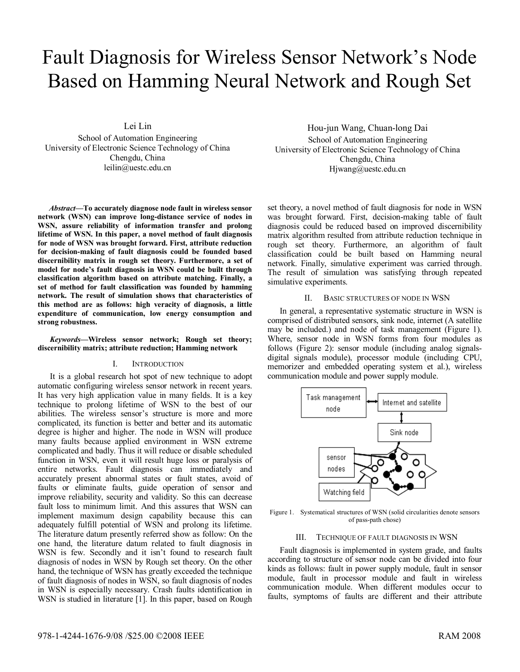# Fault Diagnosis for Wireless Sensor Network's Node Based on Hamming Neural Network and Rough Set

Lei Lin School of Automation Engineering University of Electronic Science Technology of China Chengdu, China leilin@uestc.edu.cn

*Abstract***—To accurately diagnose node fault in wireless sensor network (WSN) can improve long-distance service of nodes in WSN, assure reliability of information transfer and prolong lifetime of WSN. In this paper, a novel method of fault diagnosis for node of WSN was brought forward. First, attribute reduction for decision-making of fault diagnosis could be founded based discernibility matrix in rough set theory. Furthermore, a set of model for node's fault diagnosis in WSN could be built through classification algorithm based on attribute matching. Finally, a set of method for fault classification was founded by hamming network. The result of simulation shows that characteristics of this method are as follows: high veracity of diagnosis, a little expenditure of communication, low energy consumption and strong robustness.** 

#### *Keywords—***Wireless sensor network; Rough set theory; discernibility matrix; attribute reduction; Hamming network**

#### I. INTRODUCTION

It is a global research hot spot of new technique to adopt automatic configuring wireless sensor network in recent years. It has very high application value in many fields. It is a key technique to prolong lifetime of WSN to the best of our abilities. The wireless sensor's structure is more and more complicated, its function is better and better and its automatic degree is higher and higher. The node in WSN will produce many faults because applied environment in WSN extreme complicated and badly. Thus it will reduce or disable scheduled function in WSN, even it will result huge loss or paralysis of entire networks. Fault diagnosis can immediately and accurately present abnormal states or fault states, avoid of faults or eliminate faults, guide operation of sensor and improve reliability, security and validity. So this can decrease fault loss to minimum limit. And this assures that WSN can implement maximum design capability because this can adequately fulfill potential of WSN and prolong its lifetime. The literature datum presently referred show as follow: On the one hand, the literature datum related to fault diagnosis in WSN is few. Secondly and it isn't found to research fault diagnosis of nodes in WSN by Rough set theory. On the other hand, the technique of WSN has greatly exceeded the technique of fault diagnosis of nodes in WSN, so fault diagnosis of nodes in WSN is especially necessary. Crash faults identification in WSN is studied in literature [1]. In this paper, based on Rough

Hou-jun Wang, Chuan-long Dai School of Automation Engineering University of Electronic Science Technology of China Chengdu, China Hjwang@uestc.edu.cn

set theory, a novel method of fault diagnosis for node in WSN was brought forward. First, decision-making table of fault diagnosis could be reduced based on improved discernibility matrix algorithm resulted from attribute reduction technique in rough set theory. Furthermore, an algorithm of fault classification could be built based on Hamming neural network. Finally, simulative experiment was carried through. The result of simulation was satisfying through repeated simulative experiments.

### II. BASIC STRUCTURES OF NODE IN WSN

In general, a representative systematic structure in WSN is comprised of distributed sensors, sink node, internet (A satellite may be included.) and node of task management (Figure 1). Where, sensor node in WSN forms from four modules as follows (Figure 2): sensor module (including analog signalsdigital signals module), processor module (including CPU, memorizer and embedded operating system et al.), wireless communication module and power supply module.



Figure 1. Systematical structures of WSN (solid circularities denote sensors of pass-path chose)

#### III. TECHNIQUE OF FAULT DIAGNOSIS IN WSN

Fault diagnosis is implemented in system grade, and faults according to structure of sensor node can be divided into four kinds as follows: fault in power supply module, fault in sensor module, fault in processor module and fault in wireless communication module. When different modules occur to faults, symptoms of faults are different and their attribute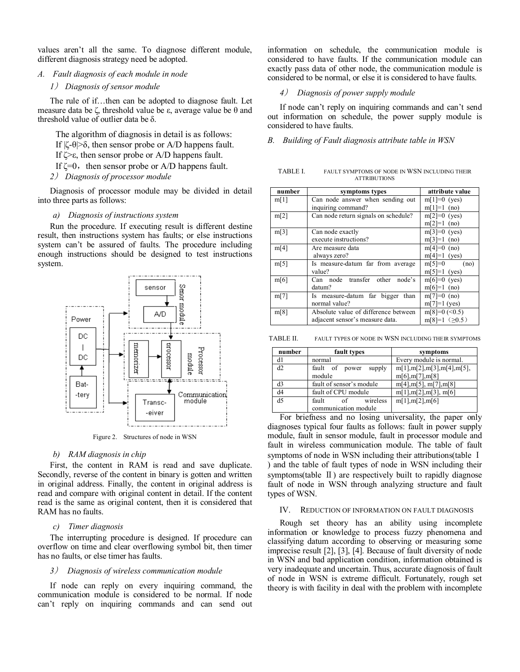values aren't all the same. To diagnose different module, different diagnosis strategy need be adopted.

- *A. Fault diagnosis of each module in node* 
	- *1*) *Diagnosis of sensor module*

The rule of if...then can be adopted to diagnose fault. Let measure data be ζ, threshold value be ε, average value be  $θ$  and threshold value of outlier data be δ.

The algorithm of diagnosis in detail is as follows:

If  $|\zeta-\theta| > \delta$ , then sensor probe or A/D happens fault.

If ζ>ε, then sensor probe or A/D happens fault.

If  $\zeta = 0$ , then sensor probe or A/D happens fault.

*2*) *Diagnosis of processor module* 

Diagnosis of processor module may be divided in detail into three parts as follows:

### *a) Diagnosis of instructions system*

Run the procedure. If executing result is different destine result, then instructions system has faults; or else instructions system can't be assured of faults. The procedure including enough instructions should be designed to test instructions system.



Figure 2. Structures of node in WSN

#### *b) RAM diagnosis in chip*

First, the content in RAM is read and save duplicate. Secondly, reverse of the content in binary is gotten and written in original address. Finally, the content in original address is read and compare with original content in detail. If the content read is the same as original content, then it is considered that RAM has no faults.

# *c) Timer diagnosis*

The interrupting procedure is designed. If procedure can overflow on time and clear overflowing symbol bit, then timer has no faults, or else timer has faults.

### *3*) *Diagnosis of wireless communication module*

If node can reply on every inquiring command, the communication module is considered to be normal. If node can't reply on inquiring commands and can send out information on schedule, the communication module is considered to have faults. If the communication module can exactly pass data of other node, the communication module is considered to be normal, or else it is considered to have faults.

# *4*) *Diagnosis of power supply module*

If node can't reply on inquiring commands and can't send out information on schedule, the power supply module is considered to have faults.

#### *B. Building of Fault diagnosis attribute table in WSN*

TABLE I. FAULT SYMPTOMS OF NODE IN WSN INCLUDING THEIR ATTRIBUTIONS

| number | symptoms types                       | attribute value         |  |  |
|--------|--------------------------------------|-------------------------|--|--|
| m[1]   | Can node answer when sending out     | $m[1]=0$ (yes)          |  |  |
|        | inquiring command?                   | $m[1]=1$ (no)           |  |  |
| m[2]   | Can node return signals on schedule? | $m[2]=0$ (yes)          |  |  |
|        |                                      | $m[2]=1$ (no)           |  |  |
| m[3]   | Can node exactly                     | $m[3]=0$ (yes)          |  |  |
|        | execute instructions?                | $m[3]=1$ (no)           |  |  |
| m[4]   | Are measure data                     | $m[4]=0$ (no)           |  |  |
|        | always zero?                         | $m[4]=1$ (yes)          |  |  |
| m[5]   | Is measure-datum far from average    | $m[5]=0$<br>(no)        |  |  |
|        | value?                               | $m[5]=1$ (yes)          |  |  |
| m[6]   | Can node transfer other node's       | $m[6]=0$ (yes)          |  |  |
|        | datum?                               | $m[6]=1$ (no)           |  |  |
| m[7]   | Is measure-datum far bigger<br>than  | $m[7]=0$ (no)           |  |  |
|        | normal value?                        | $m[7]=1$ (yes)          |  |  |
| m[8]   | Absolute value of difference between | $m[8]=0$ (<0.5)         |  |  |
|        | adjacent sensor's measure data.      | $m[8]=1$ ( $\geq 0.5$ ) |  |  |

TABLE II. FAULT TYPES OF NODE IN WSN INCLUDING THEIR SYMPTOMS

| number         | fault types              | symptoms                      |
|----------------|--------------------------|-------------------------------|
| d1             | normal                   | Every module is normal.       |
| d2             | fault of power<br>supply | m[1], m[2], m[3], m[4], m[5], |
|                | module                   | m[6], m[7], m[8]              |
| d3             | fault of sensor's module | m[4], m[5], m[7], m[8]        |
| d <sub>4</sub> | fault of CPU module      | m[1], m[2], m[3], m[6]        |
| d <sub>5</sub> | wireless<br>fault<br>of  | m[1], m[2], m[6]              |
|                | communication module     |                               |

For briefness and no losing universality, the paper only diagnoses typical four faults as follows: fault in power supply module, fault in sensor module, fault in processor module and fault in wireless communication module. The table of fault symptoms of node in WSN including their attributions (table I ) and the table of fault types of node in WSN including their symptoms(table  $\Pi$ ) are respectively built to rapidly diagnose fault of node in WSN through analyzing structure and fault types of WSN.

#### IV. REDUCTION OF INFORMATION ON FAULT DIAGNOSIS

Rough set theory has an ability using incomplete information or knowledge to process fuzzy phenomena and classifying datum according to observing or measuring some imprecise result [2], [3], [4]. Because of fault diversity of node in WSN and bad application condition, information obtained is very inadequate and uncertain. Thus, accurate diagnosis of fault of node in WSN is extreme difficult. Fortunately, rough set theory is with facility in deal with the problem with incomplete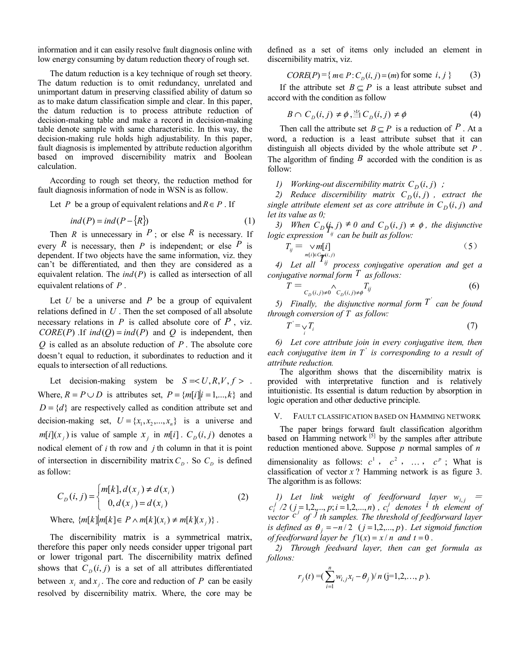information and it can easily resolve fault diagnosis online with low energy consuming by datum reduction theory of rough set.

The datum reduction is a key technique of rough set theory. The datum reduction is to omit redundancy, unrelated and unimportant datum in preserving classified ability of datum so as to make datum classification simple and clear. In this paper, the datum reduction is to process attribute reduction of decision-making table and make a record in decision-making table denote sample with same characteristic. In this way, the decision-making rule holds high adjustability. In this paper, fault diagnosis is implemented by attribute reduction algorithm based on improved discernibility matrix and Boolean calculation.

According to rough set theory, the reduction method for fault diagnosis information of node in WSN is as follow.

Let *P* be a group of equivalent relations and  $R \in P$ . If

$$
ind(P) = ind(P - \{R\})
$$
 (1)

Then *R* is unnecessary in  $P$ ; or else  $R$  is necessary. If every *R* is necessary, then *P* is independent; or else *P* is dependent. If two objects have the same information, viz. they can't be differentiated, and then they are considered as a equivalent relation. The *ind*(*P*) is called as intersection of all equivalent relations of *P* .

Let  $U$  be a universe and  $P$  be a group of equivalent relations defined in *U* . Then the set composed of all absolute necessary relations in *P* is called absolute core of *P* , viz. *CORE*(*P*) .If  $ind(Q) = ind(P)$  and *Q* is independent, then *Q* is called as an absolute reduction of *P* . The absolute core doesn't equal to reduction, it subordinates to reduction and it equals to intersection of all reductions.

Let decision-making system be  $S = < U, R, V, f >$ . Where,  $R = P \cup D$  is attributes set,  $P = \{m[i]|i = 1,...,k\}$  and  $D = \{d\}$  are respectively called as condition attribute set and decision-making set,  $U = \{x_1, x_2, ..., x_n\}$  is a universe and  $m[i](x_j)$  is value of sample  $x_j$  in  $m[i]$ .  $C_D(i, j)$  denotes a nodical element of *i* th row and *j* th column in that it is point of intersection in discernibility matrix  $C_D$ . So  $C_D$  is defined as follow:

$$
C_D(i, j) = \begin{cases} m[k], d(x_j) \neq d(x_i) \\ 0, d(x_j) = d(x_i) \end{cases}
$$
 (2)  
Where,  $\{m[k]|m[k] \in P \land m[k](x_i) \neq m[k](x_j)\}$ .

The discernibility matrix is a symmetrical matrix, therefore this paper only needs consider upper trigonal part or lower trigonal part. The discernibility matrix defined shows that  $C_p(i, j)$  is a set of all attributes differentiated between  $x_i$  and  $x_j$ . The core and reduction of  $P$  can be easily resolved by discernibility matrix. Where, the core may be defined as a set of items only included an element in discernibility matrix, viz.

$$
CORE(P) = \{ m \in P : C_D(i, j) = (m) \text{ for some } i, j \}
$$
 (3)

If the attribute set  $B \subseteq P$  is a least attribute subset and accord with the condition as follow

$$
B \cap C_D(i,j) \neq \phi, \stackrel{\text{def}}{=} C_D(i,j) \neq \phi \tag{4}
$$

Then call the attribute set  $B \subseteq P$  is a reduction of  $P$ . At a word, a reduction is a least attribute subset that it can distinguish all objects divided by the whole attribute set *P* . The algorithm of finding  $\hat{B}$  accorded with the condition is as follow:

*1) Working-out discernibility matrix*  $C_D(i, j)$  *;* 

*2) Reduce discernibility matrix*  $C_D(i, j)$ , *extract the single attribute element set as core attribute in*  $C_D(i, j)$  *and let its value as 0;* 

*3) When*  $C_D(\mathbf{i}, \mathbf{j}) \neq 0$  *and*  $C_D(\mathbf{i}, \mathbf{j}) \neq \phi$ , *the disjunctive logic expression*  $\mathbf{i}^T \mathbf{j}$  *can be built as follow:* 

$$
T_{ij} = \text{cm}[i] \tag{5}
$$
  
4) Let all  $T_{ij}$  process conjugative operation and get a

*conjugative normal form T as follows:* 

$$
T = \underset{C_D(i,j)\neq 0}{\wedge} T_{ij} \tag{6}
$$

*5)* Finally, the disjunctive normal form  $T$  can be found *through conversion of T as follow:* 

$$
T' = \bigvee_i T_i \tag{7}
$$

*6) Let core attribute join in every conjugative item, then each conjugative item in*  $T'$  *is corresponding to a result of attribute reduction.* 

The algorithm shows that the discernibility matrix is provided with interpretative function and is relatively intuitionistic. Its essential is datum reduction by absorption in logic operation and other deductive principle.

#### V. FAULT CLASSIFICATION BASED ON HAMMING NETWORK

The paper brings forward fault classification algorithm based on Hamming network  $[5]$  by the samples after attribute reduction mentioned above. Suppose *p* normal samples of *n* dimensionality as follows:  $c^1$ ,  $c^2$ , ...,  $c^p$ ; What is classification of vector *x* ? Hamming network is as figure 3. The algorithm is as follows:

1) Let link weight of feedforward layer  $w_{i,j} = c_i^j/2$  ( $j = 1, 2, ..., p; i = 1, 2, ..., n$ ),  $c_i^j$  denotes i th element of  $v_i$  *i*  $\alpha$  *c<sub><i>j*</sub>  $\alpha$ <sub>*j*</sub> *c<sub>j</sub> c<sub>j</sub> c<sub>j</sub> c<sub>j</sub>**c<sub>j</sub>**c<sub>j</sub>**c<sub>j</sub>**c<sub>j</sub>**c<sub>j</sub>**c***<sub>***j***</sub>** *c<sub>j</sub>**c<sub>j</sub>**c<sub>j</sub>**c<sub>j</sub>**c<sub>j</sub>**cg<sub>j</sub>**cg<sub>j</sub>**cg<sub>j</sub>**cg<sub>j</sub>**cg<sub>j</sub>**cg<sub>j</sub>**cg<sub>j</sub>**cg<sub>j</sub>**cg<sub>j</sub>**cg<sub>j</sub>**is defined as*  $\theta$ <sub>*j*</sub> = −*n* / 2 (*j* = 1,2,..., *p*). Let sigmoid function *of feedforward layer be*  $f(x) = x/n$  *and*  $t = 0$ .

*2) Through feedward layer, then can get formula as follows:* 

$$
r_j(t) = (\sum_{i=1}^n w_{i,j} x_i - \theta_j) / n (j=1,2,\ldots,p).
$$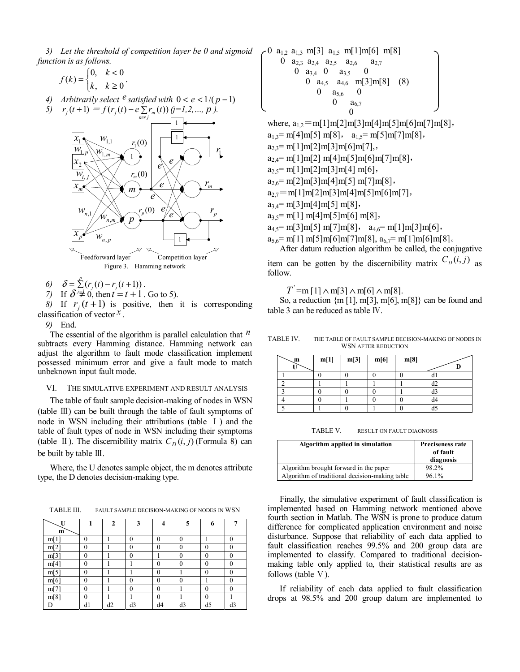*3) Let the threshold of competition layer be 0 and sigmoid function is as follows.* 

$$
f(k) = \begin{cases} 0, & k < 0 \\ k, & k \ge 0 \end{cases}.
$$

*4) Arbitrarily select*  $e^{i\theta}$  *satisfied with*  $0 < e < 1/(p-1)$ 

5) 
$$
r_j(t+1) = f(r_j(t) - e \sum_{m \neq j} r_m(t)) \underbrace{(j=1,2,...,p)}.
$$



6) 
$$
\delta = \sum_{j=1}^{p} (r_j(t) - r_j(t+1)).
$$
  
7) If  $\delta = 0$  then  $t = t+1$ 

7) If 
$$
\delta \neq 0
$$
, then  $t = t + 1$ . Go to 5).

*8)* If  $r_i(t+1)$  is positive, then it is corresponding classification of vector *x* .

*9)* End.

The essential of the algorithm is parallel calculation that *n* subtracts every Hamming distance. Hamming network can adjust the algorithm to fault mode classification implement possessed minimum error and give a fault mode to match unbeknown input fault mode.

## VI. THE SIMULATIVE EXPERIMENT AND RESULT ANALYSIS

The table of fault sample decision-making of nodes in WSN (table Ⅲ) can be built through the table of fault symptoms of node in WSN including their attributions (table Ⅰ) and the table of fault types of node in WSN including their symptoms (table  $\Pi$ ). The discernibility matrix  $C_D(i, j)$  (Formula 8) can be built by table Ⅲ.

Where, the U denotes sample object, the m denotes attribute type, the D denotes decision-making type.

TABLE III. FAULT SAMPLE DECISION-MAKING OF NODES IN WSN

| U              |          | $\mathbf{2}$ | 3                | 4              | 5                | 6        |          |
|----------------|----------|--------------|------------------|----------------|------------------|----------|----------|
| m              |          |              |                  |                |                  |          |          |
| m[1]           | $\theta$ |              | $\boldsymbol{0}$ | $\bf{0}$       | $\mathbf{0}$     |          | 0        |
| m[2]           | $\Omega$ |              | 0                | $\bf{0}$       | $\theta$         | 0        | 0        |
| m[3]           | 0        |              | $\boldsymbol{0}$ |                | $\boldsymbol{0}$ | 0        | 0        |
| m[4]           | $\Omega$ |              |                  | $\overline{0}$ | $\theta$         | 0        | 0        |
| m[5]           | $\theta$ |              |                  | $\bf{0}$       |                  | $\theta$ | $\theta$ |
| m[6]           | 0        |              | 0                | 0              | 0                |          | 0        |
| m <sub>1</sub> | $\theta$ |              | $\boldsymbol{0}$ | $\bf{0}$       |                  | 0        | 0        |
| m[8]           | $\theta$ |              |                  | $\bf{0}$       |                  | 0        |          |
| D              | d1       | d2           | d3               | d4             | d3               | d5       | d3       |

$$
\begin{array}{c}\n0 \begin{array}{c}\n a_{1,2} \ a_{1,3} \ m[3] \ a_{1,5} \ m[1]m[6] \ m[8] \\
0 \begin{array}{c}\n a_{2,3} \ a_{2,4} \ a_{2,5} \ a_{2,6} \ a_{2,7} \\
0 \begin{array}{c}\n a_{3,4} \ 0 \end{array} & a_{3,5} \ 0 \\
0 \begin{array}{c}\n a_{4,5} \ a_{4,6} \ m[3]m[8] \ (8) \\
0 \begin{array}{c}\n a_{5,6} \ 0 \\
0\n \end{array}\n\end{array}\n\end{array}
$$

where,  $a_{12}$  = m[1]m[2]m[3]m[4]m[5]m[6]m[7]m[8],  $a_{1,3}$  = m[4]m[5] m[8],  $a_{1,5}$  = m[5]m[7]m[8],  $a_{2,3}$  = m[1]m[2]m[3]m[6]m[7],  $a_{2,4}$  = m[1]m[2] m[4]m[5]m[6]m[7]m[8],  $a_{2,5}$  = m[1]m[2]m[3]m[4] m[6],  $a_{2,6}$  = m[2]m[3]m[4]m[5] m[7]m[8],  $a_{2,7}$  = m[1]m[2]m[3]m[4]m[5]m[6]m[7],  $a_{3,4}$  = m[3]m[4]m[5] m[8],  $a_{3.5}$  = m[1] m[4]m[5]m[6] m[8],  $a_{4,5}$  = m[3]m[5] m[7]m[8],  $a_{4,6}$  = m[1]m[3]m[6],  $a_{5,6}$  = m[1] m[5]m[6]m[7]m[8],  $a_{6,7}$  = m[1]m[6]m[8].

After datum reduction algorithm be called, the conjugative item can be gotten by the discernibility matrix  $C_D(i, j)$  as follow.

 $T = m [1] \wedge m[3] \wedge m[6] \wedge m[8]$ .

So, a reduction  $\{\text{m} [1], \text{m} [3], \text{m} [6], \text{m} [8]\}$  can be found and table 3 can be reduced as table Ⅳ.

TABLE IV. THE TABLE OF FAULT SAMPLE DECISION-MAKING OF NODES IN WSN AFTER REDUCTION

| m | m[1] | m[3] | m[6] | m[8] |    |
|---|------|------|------|------|----|
|   |      |      |      |      | d1 |
|   |      |      |      |      | d2 |
|   |      |      |      |      | d3 |
|   |      |      |      |      | d4 |
|   |      |      |      |      | d5 |

TABLE V. RESULT ON FAULT DIAGNOSIS

| Algorithm applied in simulation                | Preciseness rate<br>of fault<br>diagnosis |
|------------------------------------------------|-------------------------------------------|
| Algorithm brought forward in the paper         | 98.2%                                     |
| Algorithm of traditional decision-making table | 96.1%                                     |

Finally, the simulative experiment of fault classification is implemented based on Hamming network mentioned above fourth section in Matlab. The WSN is prone to produce datum difference for complicated application environment and noise disturbance. Suppose that reliability of each data applied to fault classification reaches 99.5% and 200 group data are implemented to classify. Compared to traditional decisionmaking table only applied to, their statistical results are as follows (table V).

If reliability of each data applied to fault classification drops at 98.5% and 200 group datum are implemented to